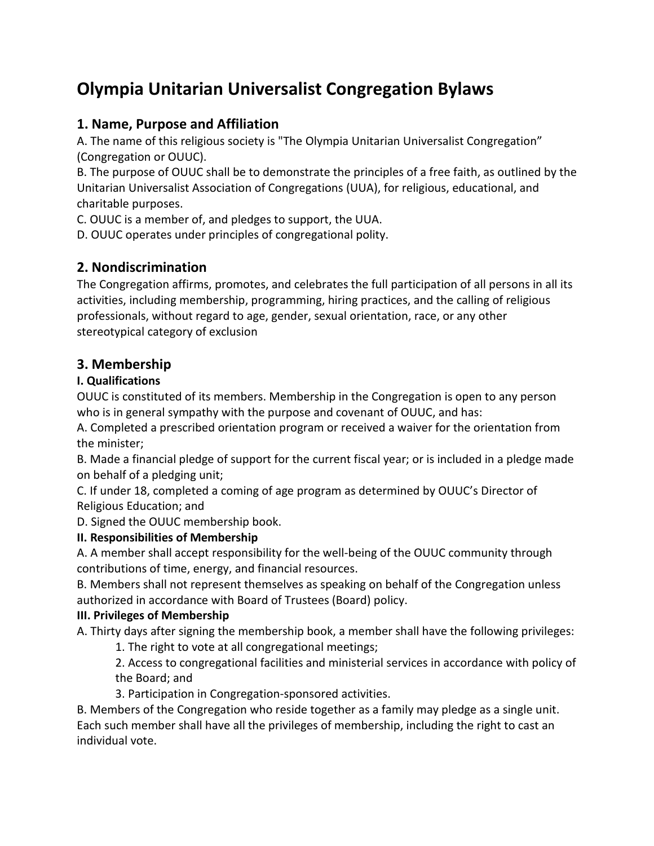# **Olympia Unitarian Universalist Congregation Bylaws**

# **1. Name, Purpose and Affiliation**

A. The name of this religious society is "The Olympia Unitarian Universalist Congregation" (Congregation or OUUC).

B. The purpose of OUUC shall be to demonstrate the principles of a free faith, as outlined by the Unitarian Universalist Association of Congregations (UUA), for religious, educational, and charitable purposes.

C. OUUC is a member of, and pledges to support, the UUA.

D. OUUC operates under principles of congregational polity.

# **2. Nondiscrimination**

The Congregation affirms, promotes, and celebrates the full participation of all persons in all its activities, including membership, programming, hiring practices, and the calling of religious professionals, without regard to age, gender, sexual orientation, race, or any other stereotypical category of exclusion

# **3. Membership**

### **I. Qualifications**

OUUC is constituted of its members. Membership in the Congregation is open to any person who is in general sympathy with the purpose and covenant of OUUC, and has:

A. Completed a prescribed orientation program or received a waiver for the orientation from the minister;

B. Made a financial pledge of support for the current fiscal year; or is included in a pledge made on behalf of a pledging unit;

C. If under 18, completed a coming of age program as determined by OUUC's Director of Religious Education; and

D. Signed the OUUC membership book.

### **II. Responsibilities of Membership**

A. A member shall accept responsibility for the well-being of the OUUC community through contributions of time, energy, and financial resources.

B. Members shall not represent themselves as speaking on behalf of the Congregation unless authorized in accordance with Board of Trustees (Board) policy.

### **III. Privileges of Membership**

A. Thirty days after signing the membership book, a member shall have the following privileges:

1. The right to vote at all congregational meetings;

2. Access to congregational facilities and ministerial services in accordance with policy of the Board; and

3. Participation in Congregation-sponsored activities.

B. Members of the Congregation who reside together as a family may pledge as a single unit. Each such member shall have all the privileges of membership, including the right to cast an individual vote.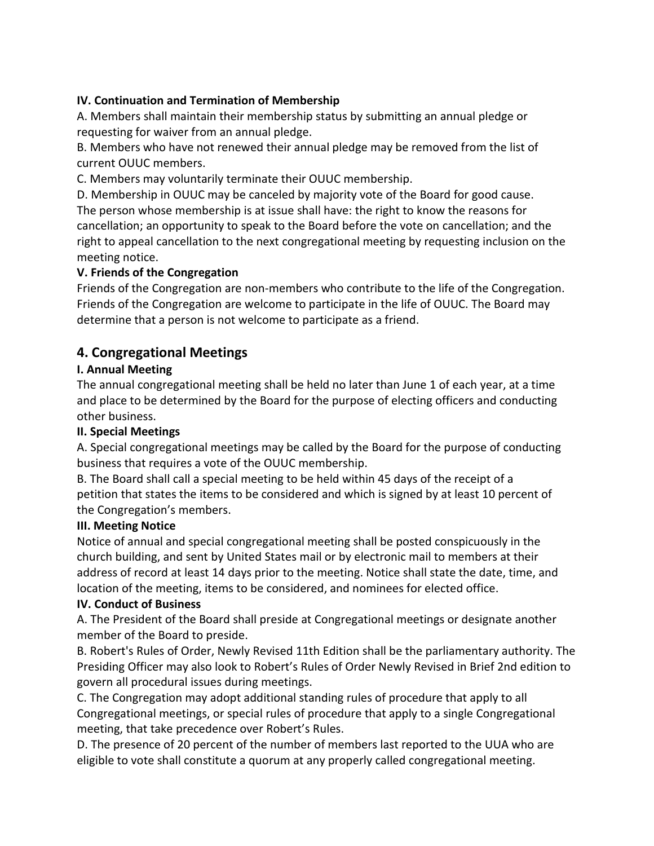#### **IV. Continuation and Termination of Membership**

A. Members shall maintain their membership status by submitting an annual pledge or requesting for waiver from an annual pledge.

B. Members who have not renewed their annual pledge may be removed from the list of current OUUC members.

C. Members may voluntarily terminate their OUUC membership.

D. Membership in OUUC may be canceled by majority vote of the Board for good cause. The person whose membership is at issue shall have: the right to know the reasons for cancellation; an opportunity to speak to the Board before the vote on cancellation; and the right to appeal cancellation to the next congregational meeting by requesting inclusion on the meeting notice.

#### **V. Friends of the Congregation**

Friends of the Congregation are non-members who contribute to the life of the Congregation. Friends of the Congregation are welcome to participate in the life of OUUC. The Board may determine that a person is not welcome to participate as a friend.

### **4. Congregational Meetings**

#### **I. Annual Meeting**

The annual congregational meeting shall be held no later than June 1 of each year, at a time and place to be determined by the Board for the purpose of electing officers and conducting other business.

#### **II. Special Meetings**

A. Special congregational meetings may be called by the Board for the purpose of conducting business that requires a vote of the OUUC membership.

B. The Board shall call a special meeting to be held within 45 days of the receipt of a petition that states the items to be considered and which is signed by at least 10 percent of the Congregation's members.

#### **III. Meeting Notice**

Notice of annual and special congregational meeting shall be posted conspicuously in the church building, and sent by United States mail or by electronic mail to members at their address of record at least 14 days prior to the meeting. Notice shall state the date, time, and location of the meeting, items to be considered, and nominees for elected office.

#### **IV. Conduct of Business**

A. The President of the Board shall preside at Congregational meetings or designate another member of the Board to preside.

B. Robert's Rules of Order, Newly Revised 11th Edition shall be the parliamentary authority. The Presiding Officer may also look to Robert's Rules of Order Newly Revised in Brief 2nd edition to govern all procedural issues during meetings.

C. The Congregation may adopt additional standing rules of procedure that apply to all Congregational meetings, or special rules of procedure that apply to a single Congregational meeting, that take precedence over Robert's Rules.

D. The presence of 20 percent of the number of members last reported to the UUA who are eligible to vote shall constitute a quorum at any properly called congregational meeting.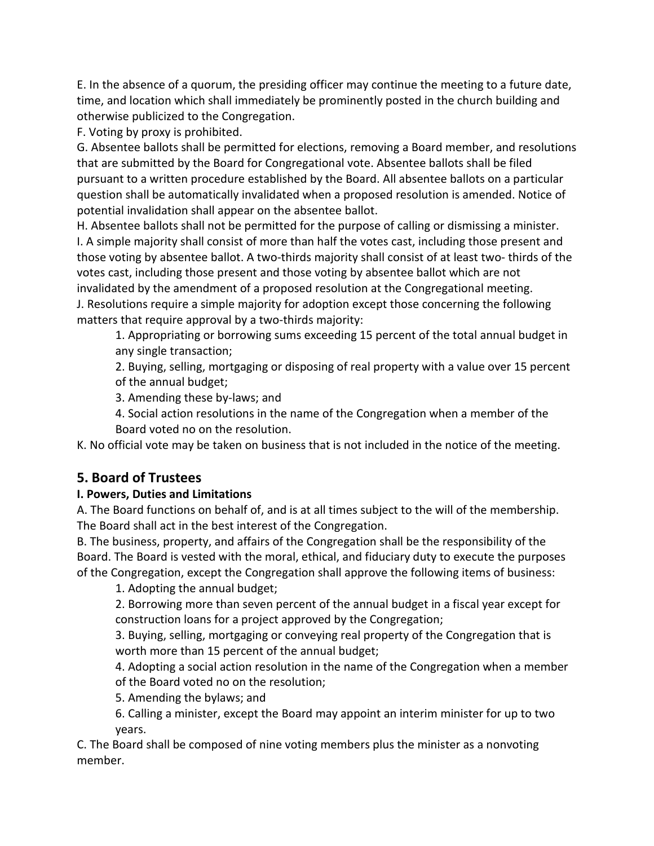E. In the absence of a quorum, the presiding officer may continue the meeting to a future date, time, and location which shall immediately be prominently posted in the church building and otherwise publicized to the Congregation.

F. Voting by proxy is prohibited.

G. Absentee ballots shall be permitted for elections, removing a Board member, and resolutions that are submitted by the Board for Congregational vote. Absentee ballots shall be filed pursuant to a written procedure established by the Board. All absentee ballots on a particular question shall be automatically invalidated when a proposed resolution is amended. Notice of potential invalidation shall appear on the absentee ballot.

H. Absentee ballots shall not be permitted for the purpose of calling or dismissing a minister. I. A simple majority shall consist of more than half the votes cast, including those present and those voting by absentee ballot. A two-thirds majority shall consist of at least two- thirds of the votes cast, including those present and those voting by absentee ballot which are not invalidated by the amendment of a proposed resolution at the Congregational meeting. J. Resolutions require a simple majority for adoption except those concerning the following matters that require approval by a two-thirds majority:

1. Appropriating or borrowing sums exceeding 15 percent of the total annual budget in any single transaction;

2. Buying, selling, mortgaging or disposing of real property with a value over 15 percent of the annual budget;

3. Amending these by-laws; and

4. Social action resolutions in the name of the Congregation when a member of the Board voted no on the resolution.

K. No official vote may be taken on business that is not included in the notice of the meeting.

# **5. Board of Trustees**

### **I. Powers, Duties and Limitations**

A. The Board functions on behalf of, and is at all times subject to the will of the membership. The Board shall act in the best interest of the Congregation.

B. The business, property, and affairs of the Congregation shall be the responsibility of the Board. The Board is vested with the moral, ethical, and fiduciary duty to execute the purposes of the Congregation, except the Congregation shall approve the following items of business:

1. Adopting the annual budget;

2. Borrowing more than seven percent of the annual budget in a fiscal year except for construction loans for a project approved by the Congregation;

3. Buying, selling, mortgaging or conveying real property of the Congregation that is worth more than 15 percent of the annual budget;

4. Adopting a social action resolution in the name of the Congregation when a member of the Board voted no on the resolution;

5. Amending the bylaws; and

6. Calling a minister, except the Board may appoint an interim minister for up to two years.

C. The Board shall be composed of nine voting members plus the minister as a nonvoting member.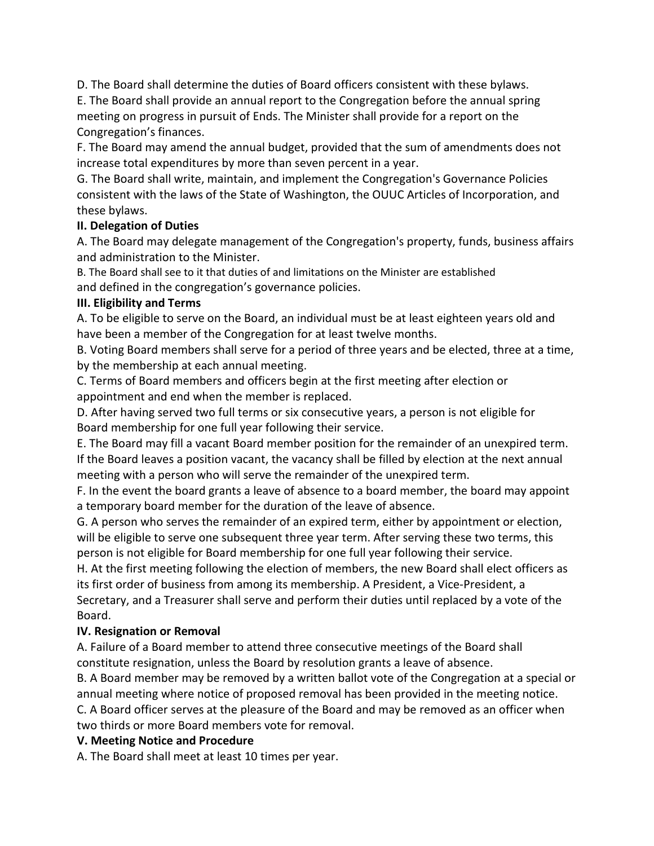D. The Board shall determine the duties of Board officers consistent with these bylaws.

E. The Board shall provide an annual report to the Congregation before the annual spring meeting on progress in pursuit of Ends. The Minister shall provide for a report on the Congregation's finances.

F. The Board may amend the annual budget, provided that the sum of amendments does not increase total expenditures by more than seven percent in a year.

G. The Board shall write, maintain, and implement the Congregation's Governance Policies consistent with the laws of the State of Washington, the OUUC Articles of Incorporation, and these bylaws.

#### **II. Delegation of Duties**

A. The Board may delegate management of the Congregation's property, funds, business affairs and administration to the Minister.

B. The Board shall see to it that duties of and limitations on the Minister are established and defined in the congregation's governance policies.

#### **III. Eligibility and Terms**

A. To be eligible to serve on the Board, an individual must be at least eighteen years old and have been a member of the Congregation for at least twelve months.

B. Voting Board members shall serve for a period of three years and be elected, three at a time, by the membership at each annual meeting.

C. Terms of Board members and officers begin at the first meeting after election or appointment and end when the member is replaced.

D. After having served two full terms or six consecutive years, a person is not eligible for Board membership for one full year following their service.

E. The Board may fill a vacant Board member position for the remainder of an unexpired term. If the Board leaves a position vacant, the vacancy shall be filled by election at the next annual meeting with a person who will serve the remainder of the unexpired term.

F. In the event the board grants a leave of absence to a board member, the board may appoint a temporary board member for the duration of the leave of absence.

G. A person who serves the remainder of an expired term, either by appointment or election, will be eligible to serve one subsequent three year term. After serving these two terms, this person is not eligible for Board membership for one full year following their service.

H. At the first meeting following the election of members, the new Board shall elect officers as its first order of business from among its membership. A President, a Vice-President, a Secretary, and a Treasurer shall serve and perform their duties until replaced by a vote of the Board.

#### **IV. Resignation or Removal**

A. Failure of a Board member to attend three consecutive meetings of the Board shall constitute resignation, unless the Board by resolution grants a leave of absence.

B. A Board member may be removed by a written ballot vote of the Congregation at a special or annual meeting where notice of proposed removal has been provided in the meeting notice.

C. A Board officer serves at the pleasure of the Board and may be removed as an officer when two thirds or more Board members vote for removal.

#### **V. Meeting Notice and Procedure**

A. The Board shall meet at least 10 times per year.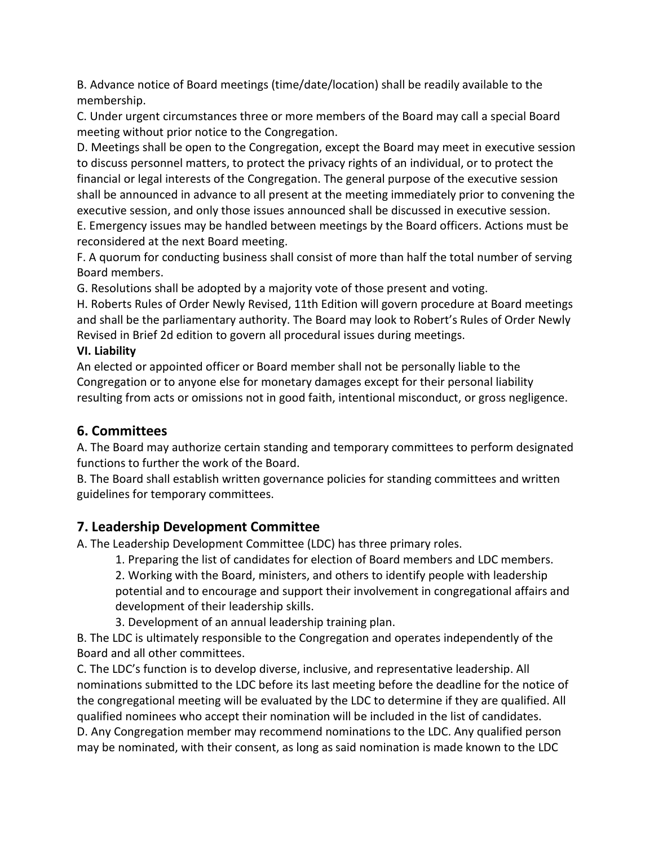B. Advance notice of Board meetings (time/date/location) shall be readily available to the membership.

C. Under urgent circumstances three or more members of the Board may call a special Board meeting without prior notice to the Congregation.

D. Meetings shall be open to the Congregation, except the Board may meet in executive session to discuss personnel matters, to protect the privacy rights of an individual, or to protect the financial or legal interests of the Congregation. The general purpose of the executive session shall be announced in advance to all present at the meeting immediately prior to convening the executive session, and only those issues announced shall be discussed in executive session.

E. Emergency issues may be handled between meetings by the Board officers. Actions must be reconsidered at the next Board meeting.

F. A quorum for conducting business shall consist of more than half the total number of serving Board members.

G. Resolutions shall be adopted by a majority vote of those present and voting.

H. Roberts Rules of Order Newly Revised, 11th Edition will govern procedure at Board meetings and shall be the parliamentary authority. The Board may look to Robert's Rules of Order Newly Revised in Brief 2d edition to govern all procedural issues during meetings.

#### **VI. Liability**

An elected or appointed officer or Board member shall not be personally liable to the Congregation or to anyone else for monetary damages except for their personal liability resulting from acts or omissions not in good faith, intentional misconduct, or gross negligence.

# **6. Committees**

A. The Board may authorize certain standing and temporary committees to perform designated functions to further the work of the Board.

B. The Board shall establish written governance policies for standing committees and written guidelines for temporary committees.

# **7. Leadership Development Committee**

A. The Leadership Development Committee (LDC) has three primary roles.

1. Preparing the list of candidates for election of Board members and LDC members.

2. Working with the Board, ministers, and others to identify people with leadership potential and to encourage and support their involvement in congregational affairs and development of their leadership skills.

3. Development of an annual leadership training plan.

B. The LDC is ultimately responsible to the Congregation and operates independently of the Board and all other committees.

C. The LDC's function is to develop diverse, inclusive, and representative leadership. All nominations submitted to the LDC before its last meeting before the deadline for the notice of the congregational meeting will be evaluated by the LDC to determine if they are qualified. All qualified nominees who accept their nomination will be included in the list of candidates. D. Any Congregation member may recommend nominations to the LDC. Any qualified person may be nominated, with their consent, as long as said nomination is made known to the LDC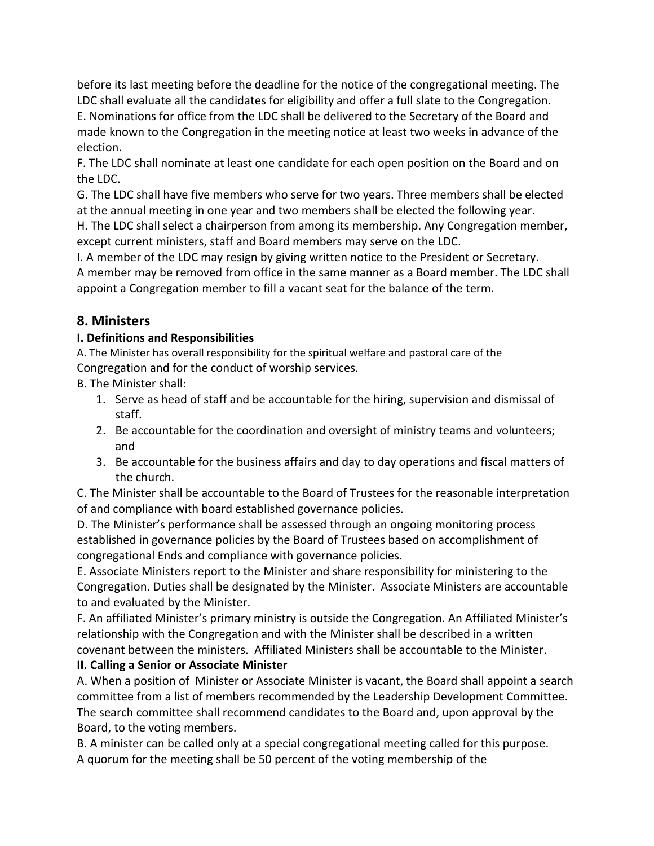before its last meeting before the deadline for the notice of the congregational meeting. The LDC shall evaluate all the candidates for eligibility and offer a full slate to the Congregation. E. Nominations for office from the LDC shall be delivered to the Secretary of the Board and made known to the Congregation in the meeting notice at least two weeks in advance of the election.

F. The LDC shall nominate at least one candidate for each open position on the Board and on the LDC.

G. The LDC shall have five members who serve for two years. Three members shall be elected at the annual meeting in one year and two members shall be elected the following year.

H. The LDC shall select a chairperson from among its membership. Any Congregation member, except current ministers, staff and Board members may serve on the LDC.

I. A member of the LDC may resign by giving written notice to the President or Secretary. A member may be removed from office in the same manner as a Board member. The LDC shall appoint a Congregation member to fill a vacant seat for the balance of the term.

# **8. Ministers**

### **I. Definitions and Responsibilities**

A. The Minister has overall responsibility for the spiritual welfare and pastoral care of the Congregation and for the conduct of worship services.

B. The Minister shall:

- 1. Serve as head of staff and be accountable for the hiring, supervision and dismissal of staff.
- 2. Be accountable for the coordination and oversight of ministry teams and volunteers; and
- 3. Be accountable for the business affairs and day to day operations and fiscal matters of the church.

C. The Minister shall be accountable to the Board of Trustees for the reasonable interpretation of and compliance with board established governance policies.

D. The Minister's performance shall be assessed through an ongoing monitoring process established in governance policies by the Board of Trustees based on accomplishment of congregational Ends and compliance with governance policies.

E. Associate Ministers report to the Minister and share responsibility for ministering to the Congregation. Duties shall be designated by the Minister. Associate Ministers are accountable to and evaluated by the Minister.

F. An affiliated Minister's primary ministry is outside the Congregation. An Affiliated Minister's relationship with the Congregation and with the Minister shall be described in a written covenant between the ministers. Affiliated Ministers shall be accountable to the Minister.

# **II. Calling a Senior or Associate Minister**

A. When a position of Minister or Associate Minister is vacant, the Board shall appoint a search committee from a list of members recommended by the Leadership Development Committee. The search committee shall recommend candidates to the Board and, upon approval by the Board, to the voting members.

B. A minister can be called only at a special congregational meeting called for this purpose. A quorum for the meeting shall be 50 percent of the voting membership of the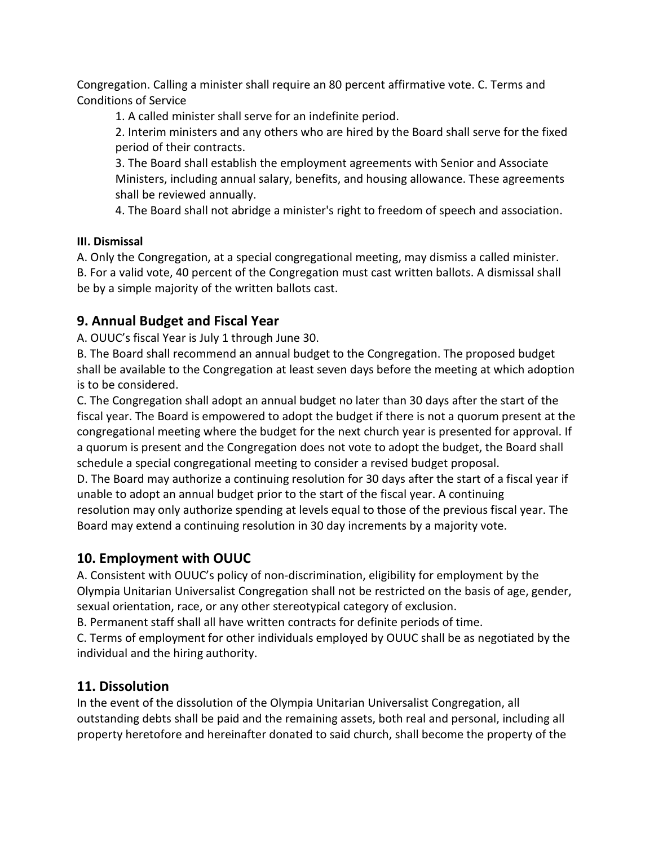Congregation. Calling a minister shall require an 80 percent affirmative vote. C. Terms and Conditions of Service

1. A called minister shall serve for an indefinite period.

2. Interim ministers and any others who are hired by the Board shall serve for the fixed period of their contracts.

3. The Board shall establish the employment agreements with Senior and Associate Ministers, including annual salary, benefits, and housing allowance. These agreements shall be reviewed annually.

4. The Board shall not abridge a minister's right to freedom of speech and association.

#### **III. Dismissal**

A. Only the Congregation, at a special congregational meeting, may dismiss a called minister. B. For a valid vote, 40 percent of the Congregation must cast written ballots. A dismissal shall be by a simple majority of the written ballots cast.

# **9. Annual Budget and Fiscal Year**

A. OUUC's fiscal Year is July 1 through June 30.

B. The Board shall recommend an annual budget to the Congregation. The proposed budget shall be available to the Congregation at least seven days before the meeting at which adoption is to be considered.

C. The Congregation shall adopt an annual budget no later than 30 days after the start of the fiscal year. The Board is empowered to adopt the budget if there is not a quorum present at the congregational meeting where the budget for the next church year is presented for approval. If a quorum is present and the Congregation does not vote to adopt the budget, the Board shall schedule a special congregational meeting to consider a revised budget proposal.

D. The Board may authorize a continuing resolution for 30 days after the start of a fiscal year if unable to adopt an annual budget prior to the start of the fiscal year. A continuing resolution may only authorize spending at levels equal to those of the previous fiscal year. The Board may extend a continuing resolution in 30 day increments by a majority vote.

# **10. Employment with OUUC**

A. Consistent with OUUC's policy of non-discrimination, eligibility for employment by the Olympia Unitarian Universalist Congregation shall not be restricted on the basis of age, gender, sexual orientation, race, or any other stereotypical category of exclusion.

B. Permanent staff shall all have written contracts for definite periods of time.

C. Terms of employment for other individuals employed by OUUC shall be as negotiated by the individual and the hiring authority.

# **11. Dissolution**

In the event of the dissolution of the Olympia Unitarian Universalist Congregation, all outstanding debts shall be paid and the remaining assets, both real and personal, including all property heretofore and hereinafter donated to said church, shall become the property of the